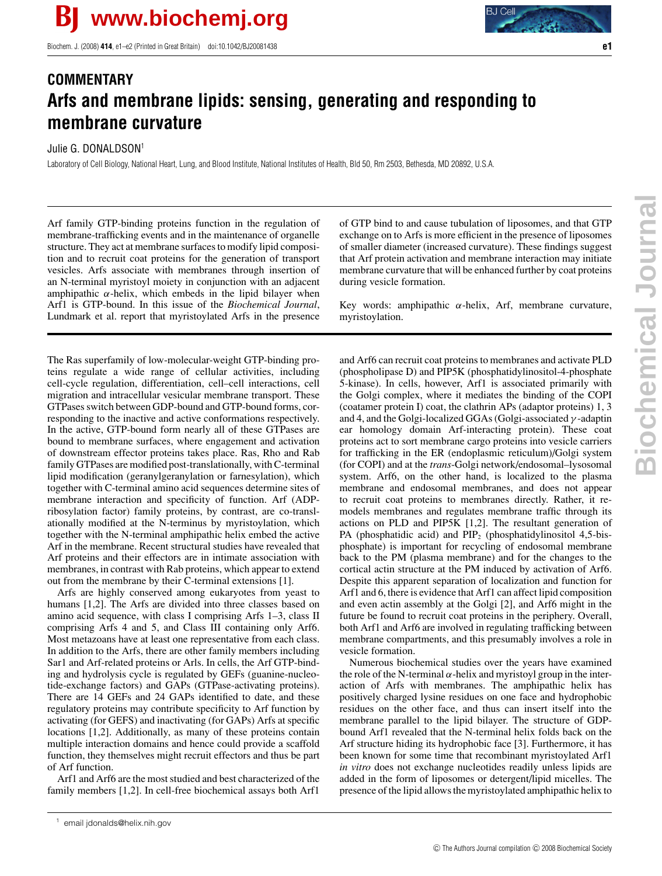Biochem. J. (2008) **414**, e1–e2 (Printed in Great Britain) doi:10.1042/BJ20081438 **e1**

## **COMMENTARY Arfs and membrane lipids: sensing, generating and responding to membrane curvature**

## Julie G. DONALDSON<sup>1</sup>

Laboratory of Cell Biology, National Heart, Lung, and Blood Institute, National Institutes of Health, Bld 50, Rm 2503, Bethesda, MD 20892, U.S.A.

Arf family GTP-binding proteins function in the regulation of membrane-trafficking events and in the maintenance of organelle structure. They act at membrane surfaces to modify lipid composition and to recruit coat proteins for the generation of transport vesicles. Arfs associate with membranes through insertion of an N-terminal myristoyl moiety in conjunction with an adjacent amphipathic  $\alpha$ -helix, which embeds in the lipid bilayer when Arf1 is GTP-bound. In this issue of the *Biochemical Journal*, Lundmark et al. report that myristoylated Arfs in the presence

The Ras superfamily of low-molecular-weight GTP-binding proteins regulate a wide range of cellular activities, including cell-cycle regulation, differentiation, cell–cell interactions, cell migration and intracellular vesicular membrane transport. These GTPases switch between GDP-bound and GTP-bound forms, corresponding to the inactive and active conformations respectively. In the active, GTP-bound form nearly all of these GTPases are bound to membrane surfaces, where engagement and activation of downstream effector proteins takes place. Ras, Rho and Rab family GTPases are modified post-translationally, with C-terminal lipid modification (geranylgeranylation or farnesylation), which together with C-terminal amino acid sequences determine sites of membrane interaction and specificity of function. Arf (ADPribosylation factor) family proteins, by contrast, are co-translationally modified at the N-terminus by myristoylation, which together with the N-terminal amphipathic helix embed the active Arf in the membrane. Recent structural studies have revealed that Arf proteins and their effectors are in intimate association with membranes, in contrast with Rab proteins, which appear to extend out from the membrane by their C-terminal extensions [1].

Arfs are highly conserved among eukaryotes from yeast to humans [1,2]. The Arfs are divided into three classes based on amino acid sequence, with class I comprising Arfs 1–3, class II comprising Arfs 4 and 5, and Class III containing only Arf6. Most metazoans have at least one representative from each class. In addition to the Arfs, there are other family members including Sar1 and Arf-related proteins or Arls. In cells, the Arf GTP-binding and hydrolysis cycle is regulated by GEFs (guanine-nucleotide-exchange factors) and GAPs (GTPase-activating proteins). There are 14 GEFs and 24 GAPs identified to date, and these regulatory proteins may contribute specificity to Arf function by activating (for GEFS) and inactivating (for GAPs) Arfs at specific locations [1,2]. Additionally, as many of these proteins contain multiple interaction domains and hence could provide a scaffold function, they themselves might recruit effectors and thus be part of Arf function.

Arf1 and Arf6 are the most studied and best characterized of the family members [1,2]. In cell-free biochemical assays both Arf1

<sup>1</sup> email jdonalds@helix.nih.gov

of GTP bind to and cause tubulation of liposomes, and that GTP exchange on to Arfs is more efficient in the presence of liposomes of smaller diameter (increased curvature). These findings suggest that Arf protein activation and membrane interaction may initiate membrane curvature that will be enhanced further by coat proteins during vesicle formation.

Key words: amphipathic  $\alpha$ -helix, Arf, membrane curvature, myristoylation.

and Arf6 can recruit coat proteins to membranes and activate PLD (phospholipase D) and PIP5K (phosphatidylinositol-4-phosphate 5-kinase). In cells, however, Arf1 is associated primarily with the Golgi complex, where it mediates the binding of the COPI (coatamer protein I) coat, the clathrin APs (adaptor proteins) 1, 3 and 4, and the Golgi-localized GGAs (Golgi-associated  $\gamma$ -adaptin ear homology domain Arf-interacting protein). These coat proteins act to sort membrane cargo proteins into vesicle carriers for trafficking in the ER (endoplasmic reticulum)/Golgi system (for COPI) and at the *trans*-Golgi network/endosomal–lysosomal system. Arf6, on the other hand, is localized to the plasma membrane and endosomal membranes, and does not appear to recruit coat proteins to membranes directly. Rather, it remodels membranes and regulates membrane traffic through its actions on PLD and PIP5K [1,2]. The resultant generation of PA (phosphatidic acid) and  $\text{PIP}_2$  (phosphatidylinositol 4,5-bisphosphate) is important for recycling of endosomal membrane back to the PM (plasma membrane) and for the changes to the cortical actin structure at the PM induced by activation of Arf6. Despite this apparent separation of localization and function for Arf1 and 6, there is evidence that Arf1 can affect lipid composition and even actin assembly at the Golgi [2], and Arf6 might in the future be found to recruit coat proteins in the periphery. Overall, both Arf1 and Arf6 are involved in regulating trafficking between membrane compartments, and this presumably involves a role in vesicle formation.

Numerous biochemical studies over the years have examined the role of the N-terminal  $\alpha$ -helix and myristoyl group in the interaction of Arfs with membranes. The amphipathic helix has positively charged lysine residues on one face and hydrophobic residues on the other face, and thus can insert itself into the membrane parallel to the lipid bilayer. The structure of GDPbound Arf1 revealed that the N-terminal helix folds back on the Arf structure hiding its hydrophobic face [3]. Furthermore, it has been known for some time that recombinant myristoylated Arf1 *in vitro* does not exchange nucleotides readily unless lipids are added in the form of liposomes or detergent/lipid micelles. The presence of the lipid allows the myristoylated amphipathic helix to